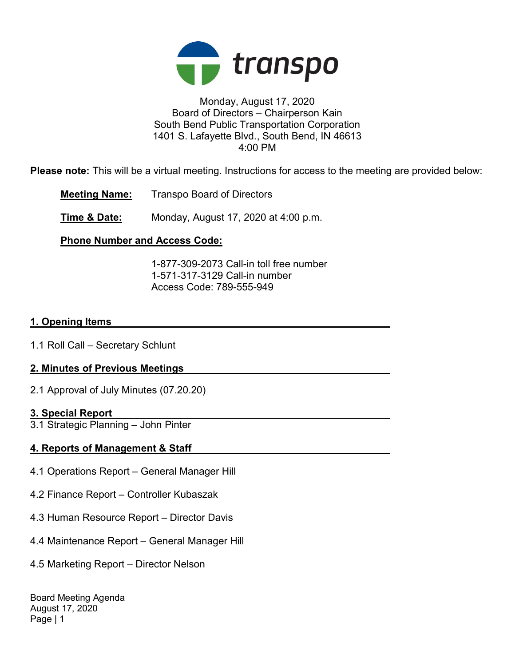

## Monday, August 17, 2020 Board of Directors – Chairperson Kain South Bend Public Transportation Corporation 1401 S. Lafayette Blvd., South Bend, IN 46613 4:00 PM

Please note: This will be a virtual meeting. Instructions for access to the meeting are provided below:

Meeting Name: Transpo Board of Directors

**Time & Date:** Monday, August 17, 2020 at 4:00 p.m.

## Phone Number and Access Code:

 1-877-309-2073 Call-in toll free number 1-571-317-3129 Call-in number Access Code: 789-555-949

## 1. Opening Items

1.1 Roll Call – Secretary Schlunt

## 2. Minutes of Previous Meetings

2.1 Approval of July Minutes (07.20.20)

## 3. Special Report

3.1 Strategic Planning – John Pinter

## 4. Reports of Management & Staff

- 4.1 Operations Report General Manager Hill
- 4.2 Finance Report Controller Kubaszak
- 4.3 Human Resource Report Director Davis
- 4.4 Maintenance Report General Manager Hill
- 4.5 Marketing Report Director Nelson

Board Meeting Agenda August 17, 2020 Page | 1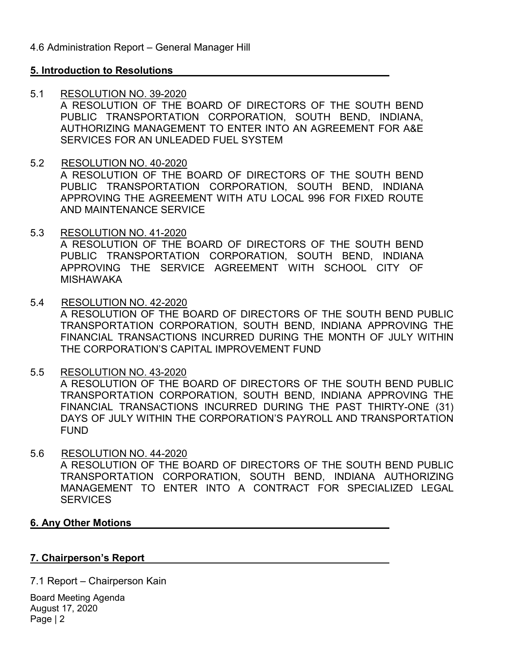## 5. Introduction to Resolutions

#### 5.1 RESOLUTION NO. 39-2020

A RESOLUTION OF THE BOARD OF DIRECTORS OF THE SOUTH BEND PUBLIC TRANSPORTATION CORPORATION, SOUTH BEND, INDIANA, AUTHORIZING MANAGEMENT TO ENTER INTO AN AGREEMENT FOR A&E SERVICES FOR AN UNLEADED FUEL SYSTEM

- 5.2 RESOLUTION NO. 40-2020 A RESOLUTION OF THE BOARD OF DIRECTORS OF THE SOUTH BEND PUBLIC TRANSPORTATION CORPORATION, SOUTH BEND, INDIANA APPROVING THE AGREEMENT WITH ATU LOCAL 996 FOR FIXED ROUTE AND MAINTENANCE SERVICE
- 5.3 RESOLUTION NO. 41-2020 A RESOLUTION OF THE BOARD OF DIRECTORS OF THE SOUTH BEND PUBLIC TRANSPORTATION CORPORATION, SOUTH BEND, INDIANA APPROVING THE SERVICE AGREEMENT WITH SCHOOL CITY OF MISHAWAKA
- 5.4 RESOLUTION NO. 42-2020 A RESOLUTION OF THE BOARD OF DIRECTORS OF THE SOUTH BEND PUBLIC TRANSPORTATION CORPORATION, SOUTH BEND, INDIANA APPROVING THE FINANCIAL TRANSACTIONS INCURRED DURING THE MONTH OF JULY WITHIN THE CORPORATION'S CAPITAL IMPROVEMENT FUND
- 5.5 RESOLUTION NO. 43-2020 A RESOLUTION OF THE BOARD OF DIRECTORS OF THE SOUTH BEND PUBLIC TRANSPORTATION CORPORATION, SOUTH BEND, INDIANA APPROVING THE FINANCIAL TRANSACTIONS INCURRED DURING THE PAST THIRTY-ONE (31) DAYS OF JULY WITHIN THE CORPORATION'S PAYROLL AND TRANSPORTATION FUND
- 5.6 RESOLUTION NO. 44-2020 A RESOLUTION OF THE BOARD OF DIRECTORS OF THE SOUTH BEND PUBLIC TRANSPORTATION CORPORATION, SOUTH BEND, INDIANA AUTHORIZING MANAGEMENT TO ENTER INTO A CONTRACT FOR SPECIALIZED LEGAL **SERVICES**

## 6. Any Other Motions

#### 7. Chairperson's Report

7.1 Report – Chairperson Kain

Board Meeting Agenda August 17, 2020 Page | 2